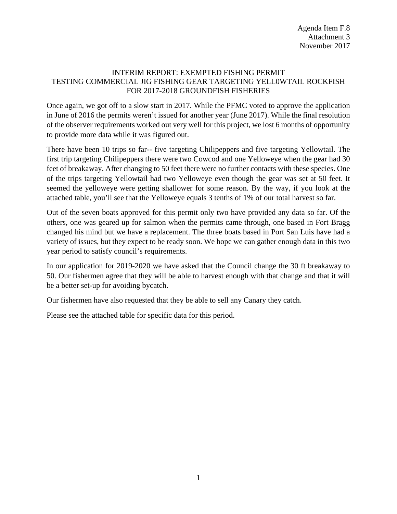## INTERIM REPORT: EXEMPTED FISHING PERMIT TESTING COMMERCIAL JIG FISHING GEAR TARGETING YELL0WTAIL ROCKFISH FOR 2017-2018 GROUNDFISH FISHERIES

Once again, we got off to a slow start in 2017. While the PFMC voted to approve the application in June of 2016 the permits weren't issued for another year (June 2017). While the final resolution of the observer requirements worked out very well for this project, we lost 6 months of opportunity to provide more data while it was figured out.

There have been 10 trips so far-- five targeting Chilipeppers and five targeting Yellowtail. The first trip targeting Chilipeppers there were two Cowcod and one Yelloweye when the gear had 30 feet of breakaway. After changing to 50 feet there were no further contacts with these species. One of the trips targeting Yellowtail had two Yelloweye even though the gear was set at 50 feet. It seemed the yelloweye were getting shallower for some reason. By the way, if you look at the attached table, you'll see that the Yelloweye equals 3 tenths of 1% of our total harvest so far.

Out of the seven boats approved for this permit only two have provided any data so far. Of the others, one was geared up for salmon when the permits came through, one based in Fort Bragg changed his mind but we have a replacement. The three boats based in Port San Luis have had a variety of issues, but they expect to be ready soon. We hope we can gather enough data in this two year period to satisfy council's requirements.

In our application for 2019-2020 we have asked that the Council change the 30 ft breakaway to 50. Our fishermen agree that they will be able to harvest enough with that change and that it will be a better set-up for avoiding bycatch.

Our fishermen have also requested that they be able to sell any Canary they catch.

Please see the attached table for specific data for this period.